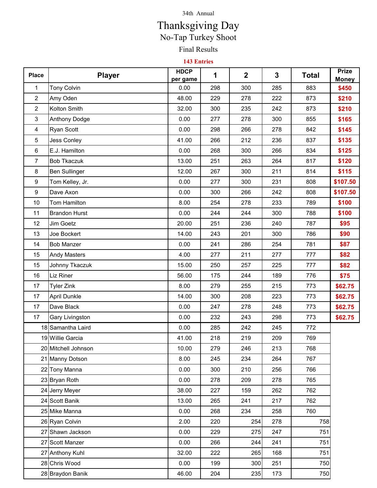## 34th Annual

## Final Results No-Tap Turkey Shoot Thanksgiving Day

## **143 Entries**

| <b>Place</b>   | <b>Player</b>          | <b>HDCP</b><br>per game | 1   | $\mathbf{2}$ | 3   | <b>Total</b> | <b>Prize</b><br><b>Money</b> |
|----------------|------------------------|-------------------------|-----|--------------|-----|--------------|------------------------------|
| 1              | <b>Tony Colvin</b>     | 0.00                    | 298 | 300          | 285 | 883          | \$450                        |
| $\overline{2}$ | Amy Oden               | 48.00                   | 229 | 278          | 222 | 873          | \$210                        |
| $\overline{2}$ | Kolton Smith           | 32.00                   | 300 | 235          | 242 | 873          | \$210                        |
| 3              | <b>Anthony Dodge</b>   | 0.00                    | 277 | 278          | 300 | 855          | \$165                        |
| 4              | Ryan Scott             | 0.00                    | 298 | 266          | 278 | 842          | \$145                        |
| 5              | <b>Jess Conley</b>     | 41.00                   | 266 | 212          | 236 | 837          | \$135                        |
| 6              | E.J. Hamilton          | 0.00                    | 268 | 300          | 266 | 834          | \$125                        |
| $\overline{7}$ | <b>Bob Tkaczuk</b>     | 13.00                   | 251 | 263          | 264 | 817          | \$120                        |
| 8              | <b>Ben Sullinger</b>   | 12.00                   | 267 | 300          | 211 | 814          | \$115                        |
| 9              | Tom Kelley, Jr.        | 0.00                    | 277 | 300          | 231 | 808          | \$107.50                     |
| 9              | Dave Axon              | 0.00                    | 300 | 266          | 242 | 808          | \$107.50                     |
| 10             | Tom Hamilton           | 8.00                    | 254 | 278          | 233 | 789          | \$100                        |
| 11             | <b>Brandon Hurst</b>   | 0.00                    | 244 | 244          | 300 | 788          | \$100                        |
| 12             | Jim Goetz              | 20.00                   | 251 | 236          | 240 | 787          | \$95                         |
| 13             | Joe Bockert            | 14.00                   | 243 | 201          | 300 | 786          | \$90                         |
| 14             | <b>Bob Manzer</b>      | 0.00                    | 241 | 286          | 254 | 781          | \$87                         |
| 15             | <b>Andy Masters</b>    | 4.00                    | 277 | 211          | 277 | 777          | \$82                         |
| 15             | Johnny Tkaczuk         | 15.00                   | 250 | 257          | 225 | 777          | \$82                         |
| 16             | Liz Riner              | 56.00                   | 175 | 244          | 189 | 776          | \$75                         |
| 17             | <b>Tyler Zink</b>      | 8.00                    | 279 | 255          | 215 | 773          | \$62.75                      |
| 17             | <b>April Dunkle</b>    | 14.00                   | 300 | 208          | 223 | 773          | \$62.75                      |
| 17             | Dave Black             | 0.00                    | 247 | 278          | 248 | 773          | \$62.75                      |
| 17             | <b>Gary Livingston</b> | 0.00                    | 232 | 243          | 298 | 773          | \$62.75                      |
|                | 18 Samantha Laird      | 0.00                    | 285 | 242          | 245 | 772          |                              |
|                | 19 Willie Garcia       | 41.00                   | 218 | 219          | 209 | 769          |                              |
|                | 20 Mitchell Johnson    | 10.00                   | 279 | 246          | 213 | 768          |                              |
|                | 21 Manny Dotson        | 8.00                    | 245 | 234          | 264 | 767          |                              |
|                | 22 Tony Manna          | 0.00                    | 300 | 210          | 256 | 766          |                              |
|                | 23 Bryan Roth          | 0.00                    | 278 | 209          | 278 | 765          |                              |
|                | 24 Jerry Meyer         | 38.00                   | 227 | 159          | 262 | 762          |                              |
|                | 24 Scott Banik         | 13.00                   | 265 | 241          | 217 | 762          |                              |
|                | 25 Mike Manna          | 0.00                    | 268 | 234          | 258 | 760          |                              |
|                | 26 Ryan Colvin         | 2.00                    | 220 | 254          | 278 | 758          |                              |
|                | 27 Shawn Jackson       | 0.00                    | 229 | 275          | 247 | 751          |                              |
|                | 27 Scott Manzer        | 0.00                    | 266 | 244          | 241 | 751          |                              |
|                | 27 Anthony Kuhl        | 32.00                   | 222 | 265          | 168 | 751          |                              |
|                | 28 Chris Wood          | 0.00                    | 199 | 300          | 251 | 750          |                              |
|                | 28 Braydon Banik       | 46.00                   | 204 | 235          | 173 | 750          |                              |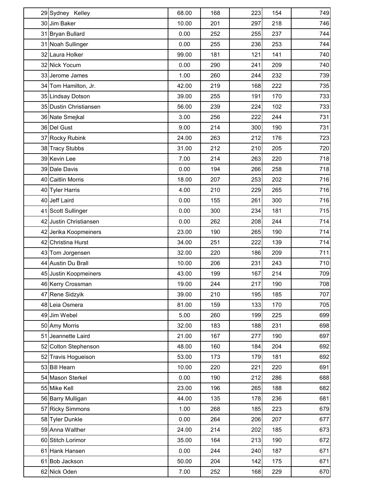| 29 Sydney Kelley       | 68.00 | 168 | 223 | 154 | 749 |
|------------------------|-------|-----|-----|-----|-----|
| 30 Jim Baker           | 10.00 | 201 | 297 | 218 | 746 |
| 31 Bryan Bullard       | 0.00  | 252 | 255 | 237 | 744 |
| 31 Noah Sullinger      | 0.00  | 255 | 236 | 253 | 744 |
| 32 Laura Holker        | 99.00 | 181 | 121 | 141 | 740 |
| 32 Nick Yocum          | 0.00  | 290 | 241 | 209 | 740 |
| 33 Jerome James        | 1.00  | 260 | 244 | 232 | 739 |
| 34 Tom Hamilton, Jr.   | 42.00 | 219 | 168 | 222 | 735 |
| 35 Lindsay Dotson      | 39.00 | 255 | 191 | 170 | 733 |
| 35 Dustin Christiansen | 56.00 | 239 | 224 | 102 | 733 |
| 36 Nate Smejkal        | 3.00  | 256 | 222 | 244 | 731 |
| 36 Del Gust            | 9.00  | 214 | 300 | 190 | 731 |
| 37 Rocky Rubink        | 24.00 | 263 | 212 | 176 | 723 |
| 38 Tracy Stubbs        | 31.00 | 212 | 210 | 205 | 720 |
| 39 Kevin Lee           | 7.00  | 214 | 263 | 220 | 718 |
| 39 Dale Davis          | 0.00  | 194 | 266 | 258 | 718 |
| 40 Caitlin Morris      | 18.00 | 207 | 253 | 202 | 716 |
| 40 Tyler Harris        | 4.00  | 210 | 229 | 265 | 716 |
| 40 Jeff Laird          | 0.00  | 155 | 261 | 300 | 716 |
| 41 Scott Sullinger     | 0.00  | 300 | 234 | 181 | 715 |
| 42 Justin Christiansen | 0.00  | 262 | 208 | 244 | 714 |
| 42 Jerika Koopmeiners  | 23.00 | 190 | 265 | 190 | 714 |
| 42 Christina Hurst     | 34.00 | 251 | 222 | 139 | 714 |
| 43 Tom Jorgensen       | 32.00 | 220 | 186 | 209 | 711 |
| 44 Austin Du Brall     | 10.00 | 206 | 231 | 243 | 710 |
| 45 Justin Koopmeiners  | 43.00 | 199 | 167 | 214 | 709 |
| 46 Kerry Crossman      | 19.00 | 244 | 217 | 190 | 708 |
| 47 Rene Sidzyik        | 39.00 | 210 | 195 | 185 | 707 |
| 48 Leia Osmera         | 81.00 | 159 | 133 | 170 | 705 |
| 49 Jim Webel           | 5.00  | 260 | 199 | 225 | 699 |
| 50 Amy Morris          | 32.00 | 183 | 188 | 231 | 698 |
| 51 Jeannette Laird     | 21.00 | 167 | 277 | 190 | 697 |
| 52 Colton Stephenson   | 48.00 | 160 | 184 | 204 | 692 |
| 52 Travis Hogueison    | 53.00 | 173 | 179 | 181 | 692 |
| 53 Bill Hearn          | 10.00 | 220 | 221 | 220 | 691 |
| 54 Mason Sterkel       | 0.00  | 190 | 212 | 286 | 688 |
| 55 Mike Kell           | 23.00 | 196 | 265 | 188 | 682 |
| 56 Barry Mulligan      | 44.00 | 135 | 178 | 236 | 681 |
| 57 Ricky Simmons       | 1.00  | 268 | 185 | 223 | 679 |
| 58 Tyler Dunkle        | 0.00  | 264 | 206 | 207 | 677 |
| 59 Anna Walther        | 24.00 | 214 | 202 | 185 | 673 |
| 60 Stitch Lorimor      | 35.00 | 164 | 213 | 190 | 672 |
| 61 Hank Hansen         | 0.00  | 244 | 240 | 187 | 671 |
| 61 Bob Jackson         | 50.00 | 204 | 142 | 175 | 671 |
| 62 Nick Oden           | 7.00  | 252 | 168 | 229 | 670 |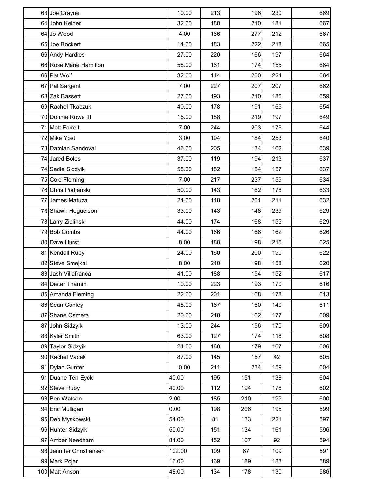| 63 Joe Crayne            | 10.00  | 213 | 196 | 230 | 669 |
|--------------------------|--------|-----|-----|-----|-----|
| 64 John Keiper           | 32.00  | 180 | 210 | 181 | 667 |
| 64 Jo Wood               | 4.00   | 166 | 277 | 212 | 667 |
| 65 Joe Bockert           | 14.00  | 183 | 222 | 218 | 665 |
| 66 Andy Hardies          | 27.00  | 220 | 166 | 197 | 664 |
| 66 Rose Marie Hamilton   | 58.00  | 161 | 174 | 155 | 664 |
| 66 Pat Wolf              | 32.00  | 144 | 200 | 224 | 664 |
| 67 Pat Sargent           | 7.00   | 227 | 207 | 207 | 662 |
| 68 Zak Bassett           | 27.00  | 193 | 210 | 186 | 659 |
| 69 Rachel Tkaczuk        | 40.00  | 178 | 191 | 165 | 654 |
| 70 Donnie Rowe III       | 15.00  | 188 | 219 | 197 | 649 |
| 71 Matt Farrell          | 7.00   | 244 | 203 | 176 | 644 |
| 72 Mike Yost             | 3.00   | 194 | 184 | 253 | 640 |
| 73 Damian Sandoval       | 46.00  | 205 | 134 | 162 | 639 |
| 74 Jared Boles           | 37.00  | 119 | 194 | 213 | 637 |
| 74 Sadie Sidzyik         | 58.00  | 152 | 154 | 157 | 637 |
| 75 Cole Fleming          | 7.00   | 217 | 237 | 159 | 634 |
| 76 Chris Podjenski       | 50.00  | 143 | 162 | 178 | 633 |
| 77 James Matuza          | 24.00  | 148 | 201 | 211 | 632 |
| 78 Shawn Hogueison       | 33.00  | 143 | 148 | 239 | 629 |
| 78 Larry Zielinski       | 44.00  | 174 | 168 | 155 | 629 |
| 79 Bob Combs             | 44.00  | 166 | 166 | 162 | 626 |
| 80 Dave Hurst            | 8.00   | 188 | 198 | 215 | 625 |
| 81 Kendall Ruby          | 24.00  | 160 | 200 | 190 | 622 |
| 82 Steve Smejkal         | 8.00   | 240 | 198 | 158 | 620 |
| 83 Jash Villafranca      | 41.00  | 188 | 154 | 152 | 617 |
| 84 Dieter Thamm          | 10.00  | 223 | 193 | 170 | 616 |
| 85 Amanda Fleming        | 22.00  | 201 | 168 | 178 | 613 |
| 86 Sean Conley           | 48.00  | 167 | 160 | 140 | 611 |
| 87 Shane Osmera          | 20.00  | 210 | 162 | 177 | 609 |
| 87 John Sidzyik          | 13.00  | 244 | 156 | 170 | 609 |
| 88 Kyler Smith           | 63.00  | 127 | 174 | 118 | 608 |
| 89 Taylor Sidzyik        | 24.00  | 188 | 179 | 167 | 606 |
| 90 Rachel Vacek          | 87.00  | 145 | 157 | 42  | 605 |
| 91 Dylan Gunter          | 0.00   | 211 | 234 | 159 | 604 |
| 91 Duane Ten Eyck        | 40.00  | 195 | 151 | 138 | 604 |
| 92 Steve Ruby            | 40.00  | 112 | 194 | 176 | 602 |
| 93 Ben Watson            | 2.00   | 185 | 210 | 199 | 600 |
| 94 Eric Mulligan         | 0.00   | 198 | 206 | 195 | 599 |
| 95 Deb Myskowski         | 54.00  | 81  | 133 | 221 | 597 |
| 96 Hunter Sidzyik        | 50.00  | 151 | 134 | 161 | 596 |
| 97 Amber Needham         | 81.00  | 152 | 107 | 92  | 594 |
| 98 Jennifer Christiansen | 102.00 | 109 | 67  | 109 | 591 |
| 99 Mark Pojar            | 16.00  | 169 | 189 | 183 | 589 |
| 100 Matt Anson           | 48.00  | 134 | 178 | 130 | 586 |